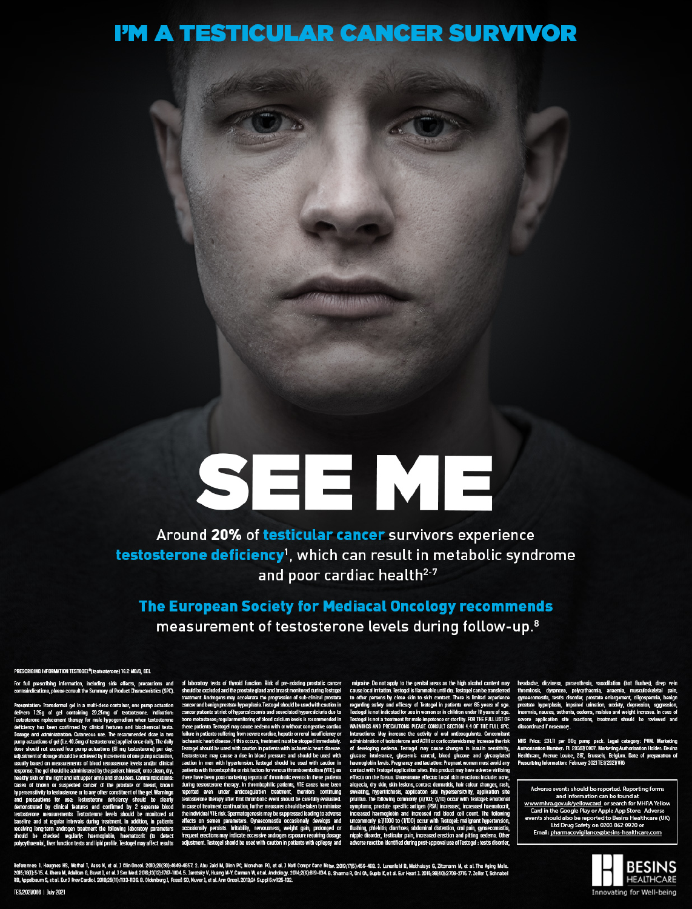## **I'M A TESTICULAR CANCER SURVIVOR**

# SEEME

**GARLINE AND STATE** 

Around 20% of testicular cancer survivors experience testosterone deficiency<sup>1</sup>, which can result in metabolic syndrome and poor cardiac health<sup>2-7</sup>

**The European Society for Mediacal Oncology recommends** measurement of testosterone levels during follow-up.<sup>8</sup>

PRESCRIBING INFORMATION TESTOGEL<sup>®</sup>(testosterone) 16.2 MG/G. GEL

For full prescribing information, including side effects, precautions and<br>contraindications, please consult the Summary of Product Characteristics (SPC).

ation: Transdemal gel in a multi-dose container, one pump actuation<br>1.25g of gel containing 20.25mg of testosterone. Indication:<br>1.25g of gel containing 20.25mg of testosterone.<br>1. The scheme of the set of the scheme of th

of laboratory tests of thyroid function. Risk of pre-existing prostatic cancer<br>should be excluded and the prostate gland and breast monitored during lestogel<br>treatment. Androgers may accelerate the progression of sub-clini oure measures; regular montuoring or uncorrection research interesting the presentation these patients. Testogel may cause oedena with or without congestive cardiac<br>failure in patients suffering from severe cardiac, hepati

migraine. Do not apply to the genital areas as the high alcohol content may<br>cause local initation. Testogel is flammable until dry. Testogel can be transferred<br>to other persons by close skin to skin contact. There is limit to contract product and efficacy of Testogel In patients over 65 years of age.<br>Testogel is not indicated for use in women or in children under 18 years of age.<br>Testogel is not a treatment for male impotence or sterility. F VARNINGS AND PRECAUTIONS PLEASE CONSULT SECTION 4.4 OF THE FULL SPC.<br>Interactions: May increase the activity of oral anticoagularnts. Concomitant<br>administration of testosterone and ACTH or corticosteroids may increase the nod not exceed four party actualizes (ii) my and actualize the search of the secure in the stopped mediate). administration of testosterow and ATCH or contentions and actualize (ii) my actualized in the state of developing

hyperplasia, impaired urination, anxiety, dep<br>u, nausea, asthenia, oedema, malaise and weigh apiasia, mi<br>sea, asthen<br>cation site discontinued if nocesses

NHS Price: £31.11 per 88g pump pack. Legal category: POM. Marketing<br>Authorisation Number: PL 28387/0007. Marketing Authorisation Holder: Besins<br>Healthcare, Avenue Louise, 287. Boussers, Belgium. Date of preparation of Information: February 2021 TES/2021/016

Adverse events should be reported. Reporting forms Adverse even sind information can be found at<br>and information can be found at<br>www.mhra.gov.uk/yellowcard or search for MHRA Yellow<br>Card in the Google Play or Apple App Store. Adverse<br>events should also be reported to Besin

> **BESINS HEALTHCARE** Innovating for Well-being

Refeences 1. Haugnes HS, Weihal T, Aass N, et al. 3 Clin Oncol. 200228(30):4649-4657. 2. Abu Zaid M, Dinh PC, Monahan PO, et al. J Nat Compr Canc New. 2019;716):459-468. 3. Lunenleb B, Machalaya G, Zitznam M, et al. The Ag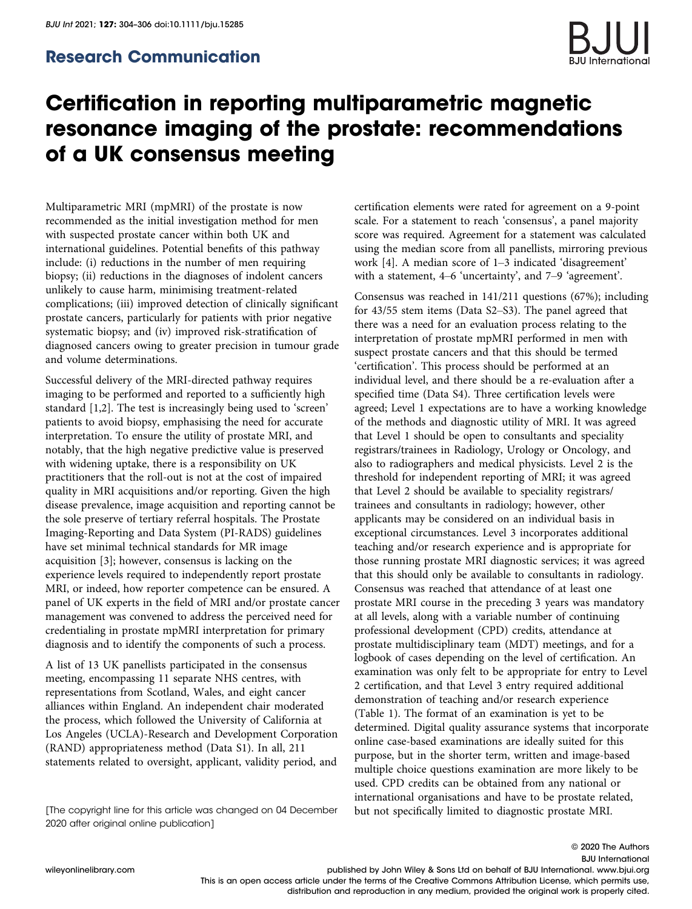© 2020 The Authors

## Certification in reporting multiparametric magnetic resonance imaging of the prostate: recommendations of a UK consensus meeting

Multiparametric MRI (mpMRI) of the prostate is now recommended as the initial investigation method for men with suspected prostate cancer within both UK and international guidelines. Potential benefits of this pathway include: (i) reductions in the number of men requiring biopsy; (ii) reductions in the diagnoses of indolent cancers unlikely to cause harm, minimising treatment-related complications; (iii) improved detection of clinically significant prostate cancers, particularly for patients with prior negative systematic biopsy; and (iv) improved risk-stratification of diagnosed cancers owing to greater precision in tumour grade and volume determinations.

Successful delivery of the MRI-directed pathway requires imaging to be performed and reported to a sufficiently high standard [1,2]. The test is increasingly being used to 'screen' patients to avoid biopsy, emphasising the need for accurate interpretation. To ensure the utility of prostate MRI, and notably, that the high negative predictive value is preserved with widening uptake, there is a responsibility on UK practitioners that the roll-out is not at the cost of impaired quality in MRI acquisitions and/or reporting. Given the high disease prevalence, image acquisition and reporting cannot be the sole preserve of tertiary referral hospitals. The Prostate Imaging-Reporting and Data System (PI-RADS) guidelines have set minimal technical standards for MR image acquisition [3]; however, consensus is lacking on the experience levels required to independently report prostate MRI, or indeed, how reporter competence can be ensured. A panel of UK experts in the field of MRI and/or prostate cancer management was convened to address the perceived need for credentialing in prostate mpMRI interpretation for primary diagnosis and to identify the components of such a process.

A list of 13 UK panellists participated in the consensus meeting, encompassing 11 separate NHS centres, with representations from Scotland, Wales, and eight cancer alliances within England. An independent chair moderated the process, which followed the University of California at Los Angeles (UCLA)-Research and Development Corporation (RAND) appropriateness method (Data S1). In all, 211 statements related to oversight, applicant, validity period, and certification elements were rated for agreement on a 9-point scale. For a statement to reach 'consensus', a panel majority score was required. Agreement for a statement was calculated using the median score from all panellists, mirroring previous work [4]. A median score of 1–3 indicated 'disagreement' with a statement, 4–6 'uncertainty', and 7–9 'agreement'.

Consensus was reached in 141/211 questions (67%); including for 43/55 stem items (Data S2–S3). The panel agreed that there was a need for an evaluation process relating to the interpretation of prostate mpMRI performed in men with suspect prostate cancers and that this should be termed 'certification'. This process should be performed at an individual level, and there should be a re-evaluation after a specified time (Data S4). Three certification levels were agreed; Level 1 expectations are to have a working knowledge of the methods and diagnostic utility of MRI. It was agreed that Level 1 should be open to consultants and speciality registrars/trainees in Radiology, Urology or Oncology, and also to radiographers and medical physicists. Level 2 is the threshold for independent reporting of MRI; it was agreed that Level 2 should be available to speciality registrars/ trainees and consultants in radiology; however, other applicants may be considered on an individual basis in exceptional circumstances. Level 3 incorporates additional teaching and/or research experience and is appropriate for those running prostate MRI diagnostic services; it was agreed that this should only be available to consultants in radiology. Consensus was reached that attendance of at least one prostate MRI course in the preceding 3 years was mandatory at all levels, along with a variable number of continuing professional development (CPD) credits, attendance at prostate multidisciplinary team (MDT) meetings, and for a logbook of cases depending on the level of certification. An examination was only felt to be appropriate for entry to Level 2 certification, and that Level 3 entry required additional demonstration of teaching and/or research experience (Table 1). The format of an examination is yet to be determined. Digital quality assurance systems that incorporate online case-based examinations are ideally suited for this purpose, but in the shorter term, written and image-based multiple choice questions examination are more likely to be used. CPD credits can be obtained from any national or international organisations and have to be prostate related,

BJU International wileyonlinelibrary.com published by John Wiley & Sons Ltd on behalf of BJU International. www.bjui.org This is an open access article under the terms of the [Creative Commons Attribution](http://creativecommons.org/licenses/by/4.0/) License, which permits use, distribution and reproduction in any medium, provided the original work is properly cited.

<sup>[</sup>The copyright line for this article was changed on 04 December but not specifically limited to diagnostic prostate MRI. 2020 after original online publication]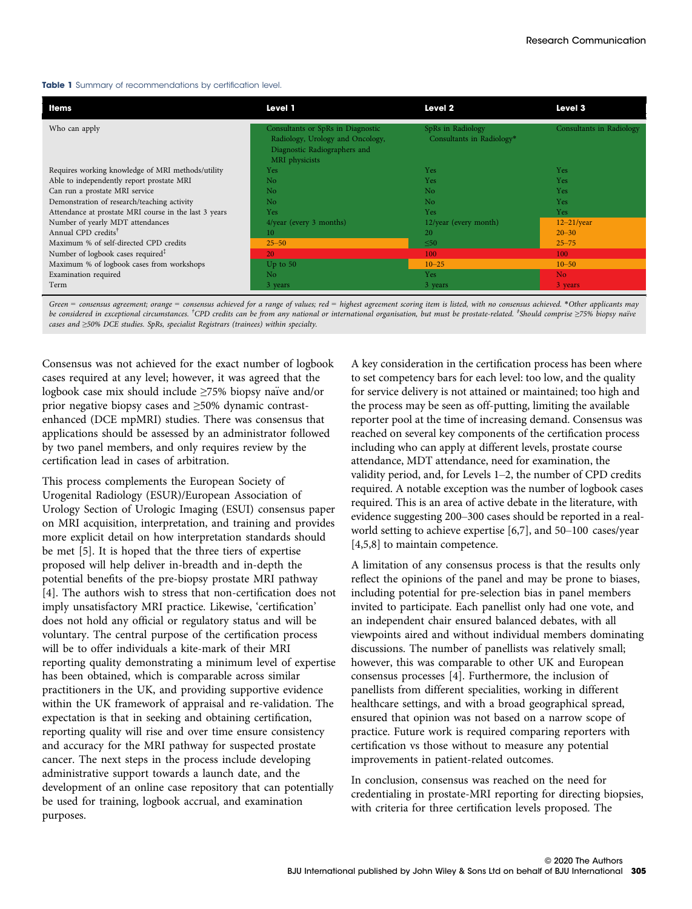#### Table 1 Summary of recommendations by certification level.

| <b>Items</b>                                          | Level 1                                                                                                                 | Level 2                                        | Level 3                  |
|-------------------------------------------------------|-------------------------------------------------------------------------------------------------------------------------|------------------------------------------------|--------------------------|
| Who can apply                                         | Consultants or SpRs in Diagnostic<br>Radiology, Urology and Oncology,<br>Diagnostic Radiographers and<br>MRI physicists | SpRs in Radiology<br>Consultants in Radiology* | Consultants in Radiology |
| Requires working knowledge of MRI methods/utility     | Yes:                                                                                                                    | <b>Yes</b>                                     | Yes:                     |
| Able to independently report prostate MRI             | N <sub>o</sub>                                                                                                          | <b>Yes</b>                                     | Yes:                     |
| Can run a prostate MRI service                        | N <sub>0</sub>                                                                                                          | N <sub>o</sub>                                 | Yes:                     |
| Demonstration of research/teaching activity           | No                                                                                                                      | No                                             | Yes:                     |
| Attendance at prostate MRI course in the last 3 years | Yes                                                                                                                     | <b>Yes</b>                                     | Yes:                     |
| Number of yearly MDT attendances                      | 4/year (every 3 months)                                                                                                 | 12/year (every month)                          | $12 - 21$ /year          |
| Annual CPD credits <sup>†</sup>                       | 10                                                                                                                      | 20                                             | $20 - 30$                |
| Maximum % of self-directed CPD credits                | $25 - 50$                                                                                                               | $\leq 50$                                      | $25 - 75$                |
| Number of logbook cases required $\bar{f}$            | 20                                                                                                                      | 100                                            | 100                      |
| Maximum % of logbook cases from workshops             | Up to $50$                                                                                                              | $10 - 25$                                      | $10 - 50$                |
| Examination required                                  | N <sub>o</sub>                                                                                                          | Yes:                                           | N <sub>o</sub>           |
| Term                                                  | 3 years                                                                                                                 | 3 years                                        | 3 years                  |

Green = consensus agreement; orange = consensus achieved for a range of values; red = highest agreement scoring item is listed, with no consensus achieved. \*Other applicants may be considered in exceptional circumstances. <sup>†</sup>CPD credits can be from any national or international organisation, but must be prostate-related. <sup>‡</sup>Should comprise ≥75% biopsy naïve cases and ≥50% DCE studies. SpRs, specialist Registrars (trainees) within specialty.

Consensus was not achieved for the exact number of logbook cases required at any level; however, it was agreed that the logbook case mix should include  $\geq$ 75% biopsy naïve and/or prior negative biopsy cases and ≥50% dynamic contrastenhanced (DCE mpMRI) studies. There was consensus that applications should be assessed by an administrator followed by two panel members, and only requires review by the certification lead in cases of arbitration.

This process complements the European Society of Urogenital Radiology (ESUR)/European Association of Urology Section of Urologic Imaging (ESUI) consensus paper on MRI acquisition, interpretation, and training and provides more explicit detail on how interpretation standards should be met [5]. It is hoped that the three tiers of expertise proposed will help deliver in-breadth and in-depth the potential benefits of the pre-biopsy prostate MRI pathway [4]. The authors wish to stress that non-certification does not imply unsatisfactory MRI practice. Likewise, 'certification' does not hold any official or regulatory status and will be voluntary. The central purpose of the certification process will be to offer individuals a kite-mark of their MRI reporting quality demonstrating a minimum level of expertise has been obtained, which is comparable across similar practitioners in the UK, and providing supportive evidence within the UK framework of appraisal and re-validation. The expectation is that in seeking and obtaining certification, reporting quality will rise and over time ensure consistency and accuracy for the MRI pathway for suspected prostate cancer. The next steps in the process include developing administrative support towards a launch date, and the development of an online case repository that can potentially be used for training, logbook accrual, and examination purposes.

A key consideration in the certification process has been where to set competency bars for each level: too low, and the quality for service delivery is not attained or maintained; too high and the process may be seen as off-putting, limiting the available reporter pool at the time of increasing demand. Consensus was reached on several key components of the certification process including who can apply at different levels, prostate course attendance, MDT attendance, need for examination, the validity period, and, for Levels 1–2, the number of CPD credits required. A notable exception was the number of logbook cases required. This is an area of active debate in the literature, with evidence suggesting 200–300 cases should be reported in a realworld setting to achieve expertise [6,7], and 50–100 cases/year [4,5,8] to maintain competence.

A limitation of any consensus process is that the results only reflect the opinions of the panel and may be prone to biases, including potential for pre-selection bias in panel members invited to participate. Each panellist only had one vote, and an independent chair ensured balanced debates, with all viewpoints aired and without individual members dominating discussions. The number of panellists was relatively small; however, this was comparable to other UK and European consensus processes [4]. Furthermore, the inclusion of panellists from different specialities, working in different healthcare settings, and with a broad geographical spread, ensured that opinion was not based on a narrow scope of practice. Future work is required comparing reporters with certification vs those without to measure any potential improvements in patient-related outcomes.

In conclusion, consensus was reached on the need for credentialing in prostate-MRI reporting for directing biopsies, with criteria for three certification levels proposed. The